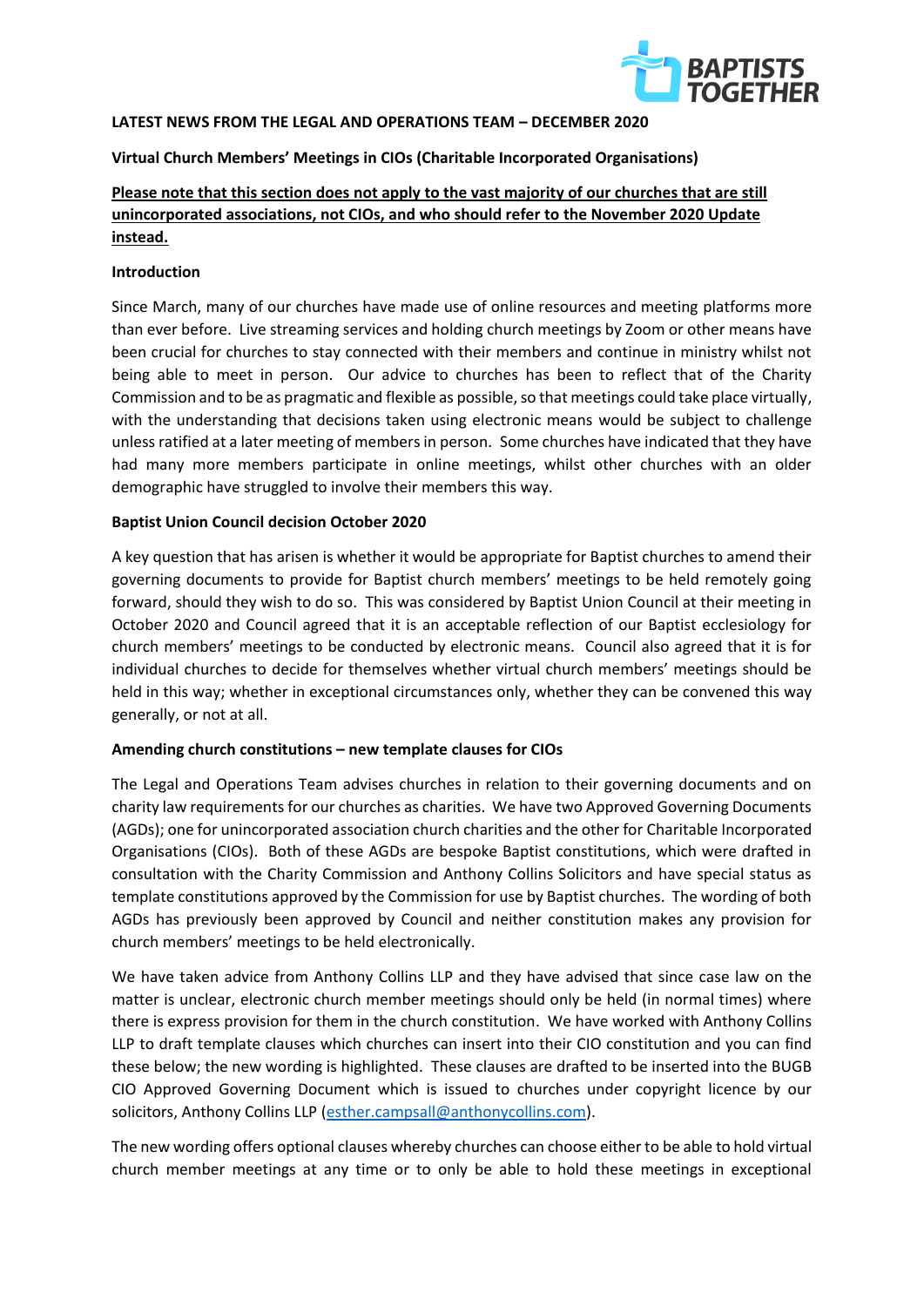

#### **LATEST NEWS FROM THE LEGAL AND OPERATIONS TEAM – DECEMBER 2020**

# **Virtual Church Members' Meetings in CIOs (Charitable Incorporated Organisations)**

# **Please note that this section does not apply to the vast majority of our churches that are still unincorporated associations, not CIOs, and who should refer to the November 2020 Update instead.**

#### **Introduction**

Since March, many of our churches have made use of online resources and meeting platforms more than ever before. Live streaming services and holding church meetings by Zoom or other means have been crucial for churches to stay connected with their members and continue in ministry whilst not being able to meet in person. Our advice to churches has been to reflect that of the Charity Commission and to be as pragmatic and flexible as possible, so that meetings could take place virtually, with the understanding that decisions taken using electronic means would be subject to challenge unless ratified at a later meeting of members in person. Some churches have indicated that they have had many more members participate in online meetings, whilst other churches with an older demographic have struggled to involve their members this way.

#### **Baptist Union Council decision October 2020**

A key question that has arisen is whether it would be appropriate for Baptist churches to amend their governing documents to provide for Baptist church members' meetings to be held remotely going forward, should they wish to do so. This was considered by Baptist Union Council at their meeting in October 2020 and Council agreed that it is an acceptable reflection of our Baptist ecclesiology for church members' meetings to be conducted by electronic means. Council also agreed that it is for individual churches to decide for themselves whether virtual church members' meetings should be held in this way; whether in exceptional circumstances only, whether they can be convened this way generally, or not at all.

# **Amending church constitutions – new template clauses for CIOs**

The Legal and Operations Team advises churches in relation to their governing documents and on charity law requirements for our churches as charities. We have two Approved Governing Documents (AGDs); one for unincorporated association church charities and the other for Charitable Incorporated Organisations (CIOs). Both of these AGDs are bespoke Baptist constitutions, which were drafted in consultation with the Charity Commission and Anthony Collins Solicitors and have special status as template constitutions approved by the Commission for use by Baptist churches. The wording of both AGDs has previously been approved by Council and neither constitution makes any provision for church members' meetings to be held electronically.

We have taken advice from Anthony Collins LLP and they have advised that since case law on the matter is unclear, electronic church member meetings should only be held (in normal times) where there is express provision for them in the church constitution. We have worked with Anthony Collins LLP to draft template clauses which churches can insert into their CIO constitution and you can find these below; the new wording is highlighted. These clauses are drafted to be inserted into the BUGB CIO Approved Governing Document which is issued to churches under copyright licence by our solicitors, Anthony Collins LLP [\(esther.campsall@anthonycollins.com\)](mailto:esther.campsall@anthonycollins.com).

The new wording offers optional clauses whereby churches can choose either to be able to hold virtual church member meetings at any time or to only be able to hold these meetings in exceptional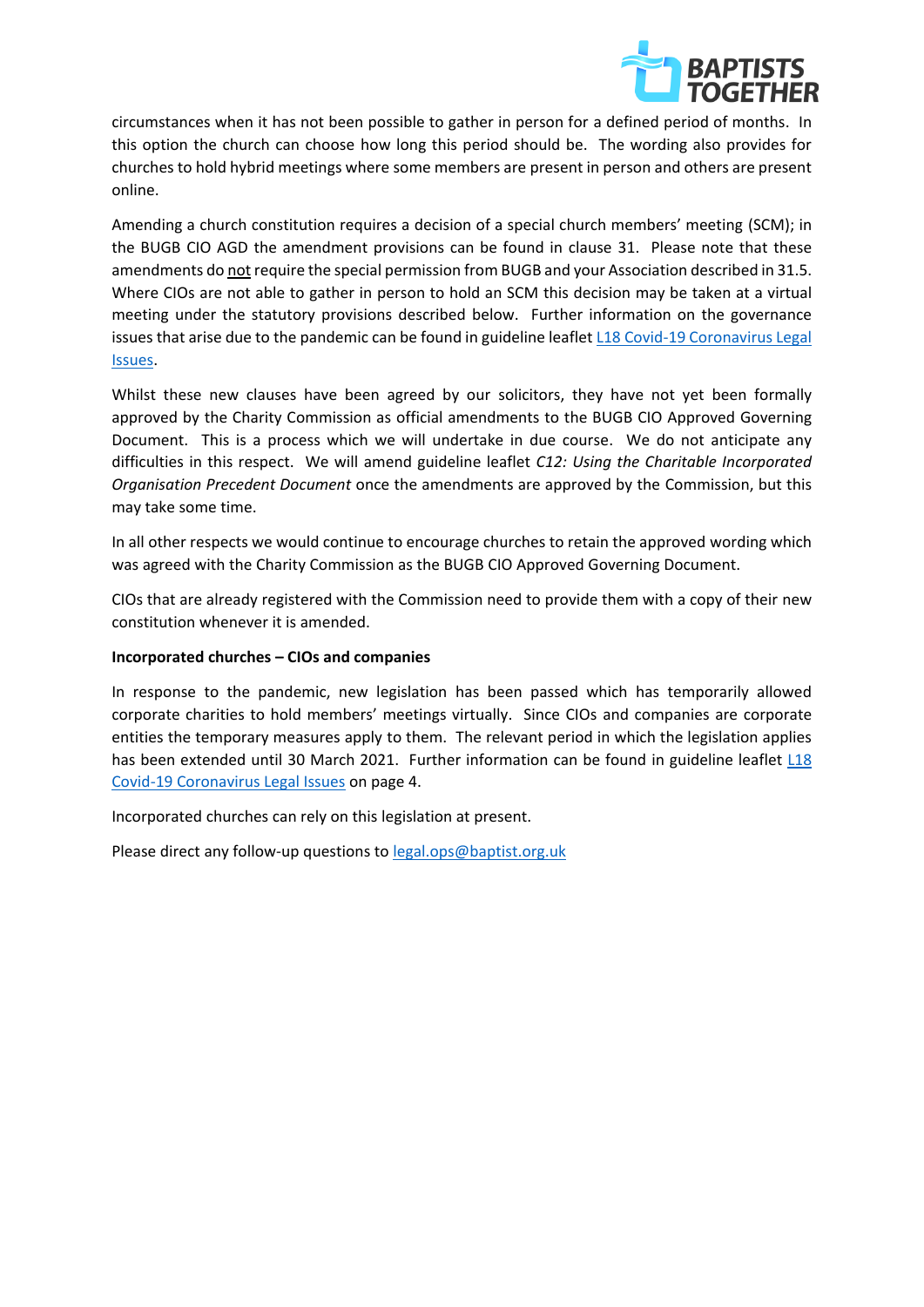

circumstances when it has not been possible to gather in person for a defined period of months. In this option the church can choose how long this period should be. The wording also provides for churches to hold hybrid meetings where some members are present in person and others are present online.

Amending a church constitution requires a decision of a special church members' meeting (SCM); in the BUGB CIO AGD the amendment provisions can be found in clause 31. Please note that these amendments do not require the special permission from BUGB and your Association described in 31.5. Where CIOs are not able to gather in person to hold an SCM this decision may be taken at a virtual meeting under the statutory provisions described below. Further information on the governance issues that arise due to the pandemic can be found in guideline leafle[t L18 Covid-19 Coronavirus Legal](https://www.baptist.org.uk/Articles/572553/Guideline_Leaflet_L18.aspx)  [Issues.](https://www.baptist.org.uk/Articles/572553/Guideline_Leaflet_L18.aspx)

Whilst these new clauses have been agreed by our solicitors, they have not yet been formally approved by the Charity Commission as official amendments to the BUGB CIO Approved Governing Document. This is a process which we will undertake in due course. We do not anticipate any difficulties in this respect. We will amend guideline leaflet *C12: Using the Charitable Incorporated Organisation Precedent Document* once the amendments are approved by the Commission, but this may take some time.

In all other respects we would continue to encourage churches to retain the approved wording which was agreed with the Charity Commission as the BUGB CIO Approved Governing Document.

CIOs that are already registered with the Commission need to provide them with a copy of their new constitution whenever it is amended.

# **Incorporated churches – CIOs and companies**

In response to the pandemic, new legislation has been passed which has temporarily allowed corporate charities to hold members' meetings virtually. Since CIOs and companies are corporate entities the temporary measures apply to them. The relevant period in which the legislation applies has been extended until 30 March 2021. Further information can be found in guideline leaflet L18 [Covid-19 Coronavirus Legal Issues](https://www.baptist.org.uk/Articles/572553/Guideline_Leaflet_L18.aspx) on page 4.

Incorporated churches can rely on this legislation at present.

Please direct any follow-up questions to [legal.ops@baptist.org.uk](mailto:legal.ops@baptist.org.uk)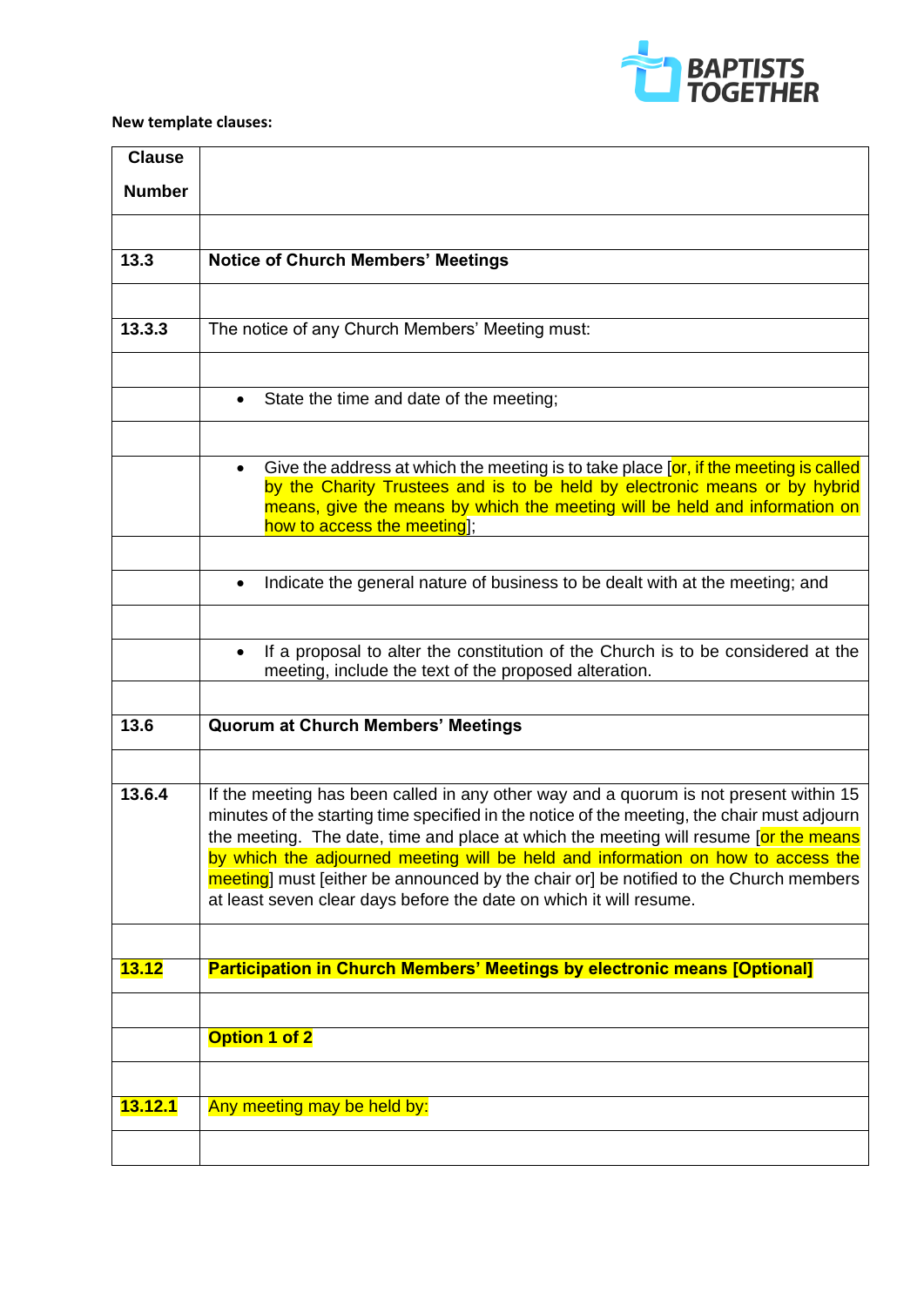

# **New template clauses:**

| <b>Clause</b>  |                                                                                                                                                                                     |
|----------------|-------------------------------------------------------------------------------------------------------------------------------------------------------------------------------------|
| <b>Number</b>  |                                                                                                                                                                                     |
|                |                                                                                                                                                                                     |
|                |                                                                                                                                                                                     |
| 13.3           | <b>Notice of Church Members' Meetings</b>                                                                                                                                           |
|                |                                                                                                                                                                                     |
| 13.3.3         | The notice of any Church Members' Meeting must:                                                                                                                                     |
|                |                                                                                                                                                                                     |
|                | State the time and date of the meeting;                                                                                                                                             |
|                |                                                                                                                                                                                     |
|                |                                                                                                                                                                                     |
|                | Give the address at which the meeting is to take place [or, if the meeting is called<br>by the Charity Trustees and is to be held by electronic means or by hybrid                  |
|                | means, give the means by which the meeting will be held and information on                                                                                                          |
|                | how to access the meeting];                                                                                                                                                         |
|                |                                                                                                                                                                                     |
|                | Indicate the general nature of business to be dealt with at the meeting; and                                                                                                        |
|                |                                                                                                                                                                                     |
|                | If a proposal to alter the constitution of the Church is to be considered at the<br>$\bullet$                                                                                       |
|                | meeting, include the text of the proposed alteration.                                                                                                                               |
|                |                                                                                                                                                                                     |
| 13.6           | <b>Quorum at Church Members' Meetings</b>                                                                                                                                           |
|                |                                                                                                                                                                                     |
| 13.6.4         | If the meeting has been called in any other way and a quorum is not present within 15                                                                                               |
|                | minutes of the starting time specified in the notice of the meeting, the chair must adjourn<br>the meeting. The date, time and place at which the meeting will resume [or the means |
|                | by which the adjourned meeting will be held and information on how to access the                                                                                                    |
|                | meeting] must [either be announced by the chair or] be notified to the Church members                                                                                               |
|                | at least seven clear days before the date on which it will resume.                                                                                                                  |
|                |                                                                                                                                                                                     |
| <b>13.12</b>   | <b>Participation in Church Members' Meetings by electronic means [Optional]</b>                                                                                                     |
|                |                                                                                                                                                                                     |
|                | Option 1 of 2                                                                                                                                                                       |
|                |                                                                                                                                                                                     |
|                |                                                                                                                                                                                     |
| <b>13.12.1</b> | Any meeting may be held by:                                                                                                                                                         |
|                |                                                                                                                                                                                     |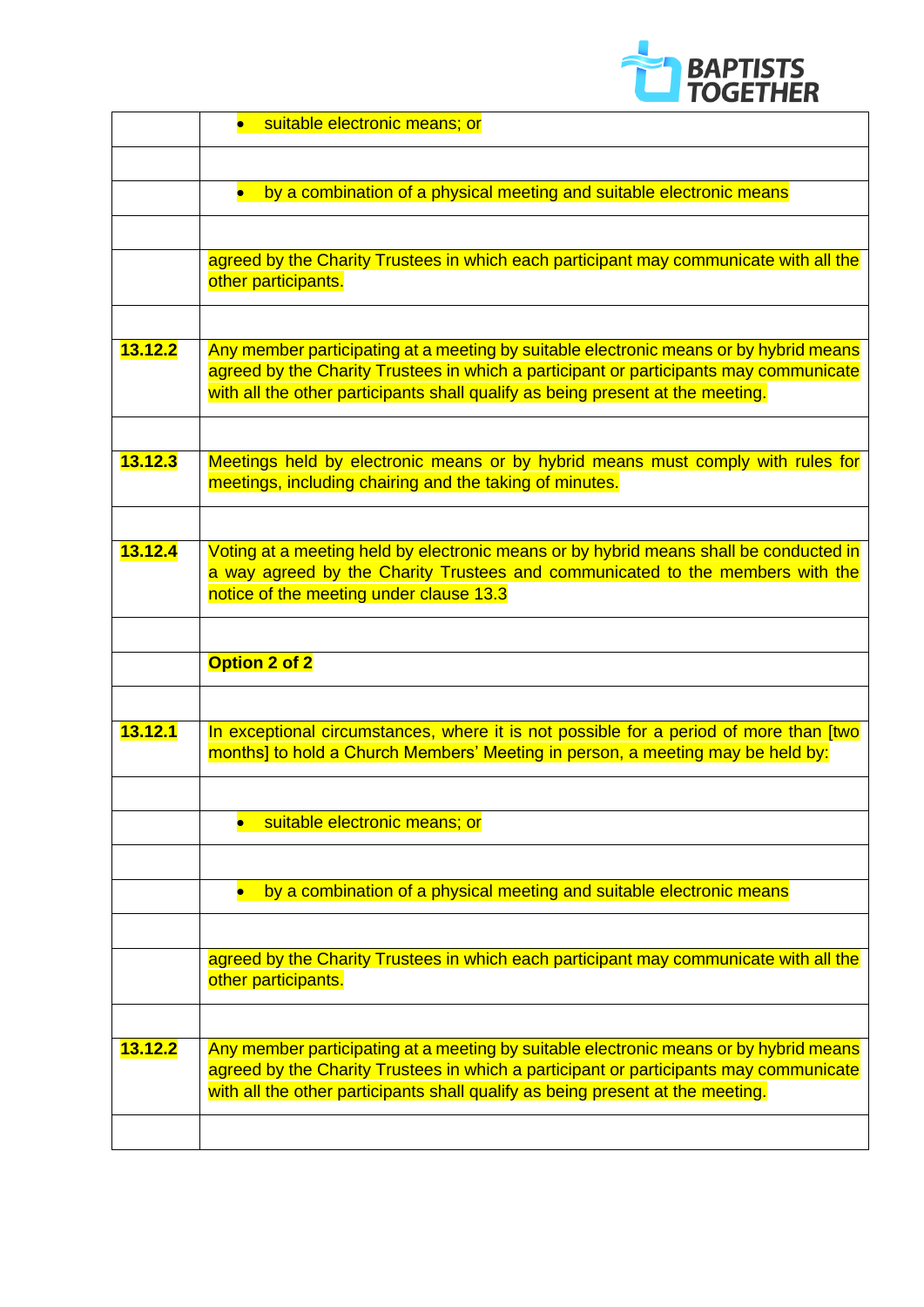

|         | suitable electronic means; or                                                                                                                                           |
|---------|-------------------------------------------------------------------------------------------------------------------------------------------------------------------------|
|         |                                                                                                                                                                         |
|         | by a combination of a physical meeting and suitable electronic means<br>$\bullet$                                                                                       |
|         |                                                                                                                                                                         |
|         | agreed by the Charity Trustees in which each participant may communicate with all the                                                                                   |
|         | other participants.                                                                                                                                                     |
|         |                                                                                                                                                                         |
| 13.12.2 | Any member participating at a meeting by suitable electronic means or by hybrid means                                                                                   |
|         | agreed by the Charity Trustees in which a participant or participants may communicate<br>with all the other participants shall qualify as being present at the meeting. |
|         |                                                                                                                                                                         |
| 13.12.3 | Meetings held by electronic means or by hybrid means must comply with rules for                                                                                         |
|         | meetings, including chairing and the taking of minutes.                                                                                                                 |
|         |                                                                                                                                                                         |
| 13.12.4 | Voting at a meeting held by electronic means or by hybrid means shall be conducted in                                                                                   |
|         | a way agreed by the Charity Trustees and communicated to the members with the<br>notice of the meeting under clause 13.3                                                |
|         |                                                                                                                                                                         |
|         |                                                                                                                                                                         |
|         | Option 2 of 2                                                                                                                                                           |
|         |                                                                                                                                                                         |
| 13.12.1 | In exceptional circumstances, where it is not possible for a period of more than [two<br>months] to hold a Church Members' Meeting in person, a meeting may be held by: |
|         |                                                                                                                                                                         |
|         | suitable electronic means; or                                                                                                                                           |
|         |                                                                                                                                                                         |
|         |                                                                                                                                                                         |
|         | by a combination of a physical meeting and suitable electronic means<br>$\bullet$                                                                                       |
|         |                                                                                                                                                                         |
|         | agreed by the Charity Trustees in which each participant may communicate with all the<br>other participants.                                                            |
|         |                                                                                                                                                                         |
| 13.12.2 | Any member participating at a meeting by suitable electronic means or by hybrid means                                                                                   |
|         | agreed by the Charity Trustees in which a participant or participants may communicate                                                                                   |
|         | with all the other participants shall qualify as being present at the meeting.                                                                                          |
|         |                                                                                                                                                                         |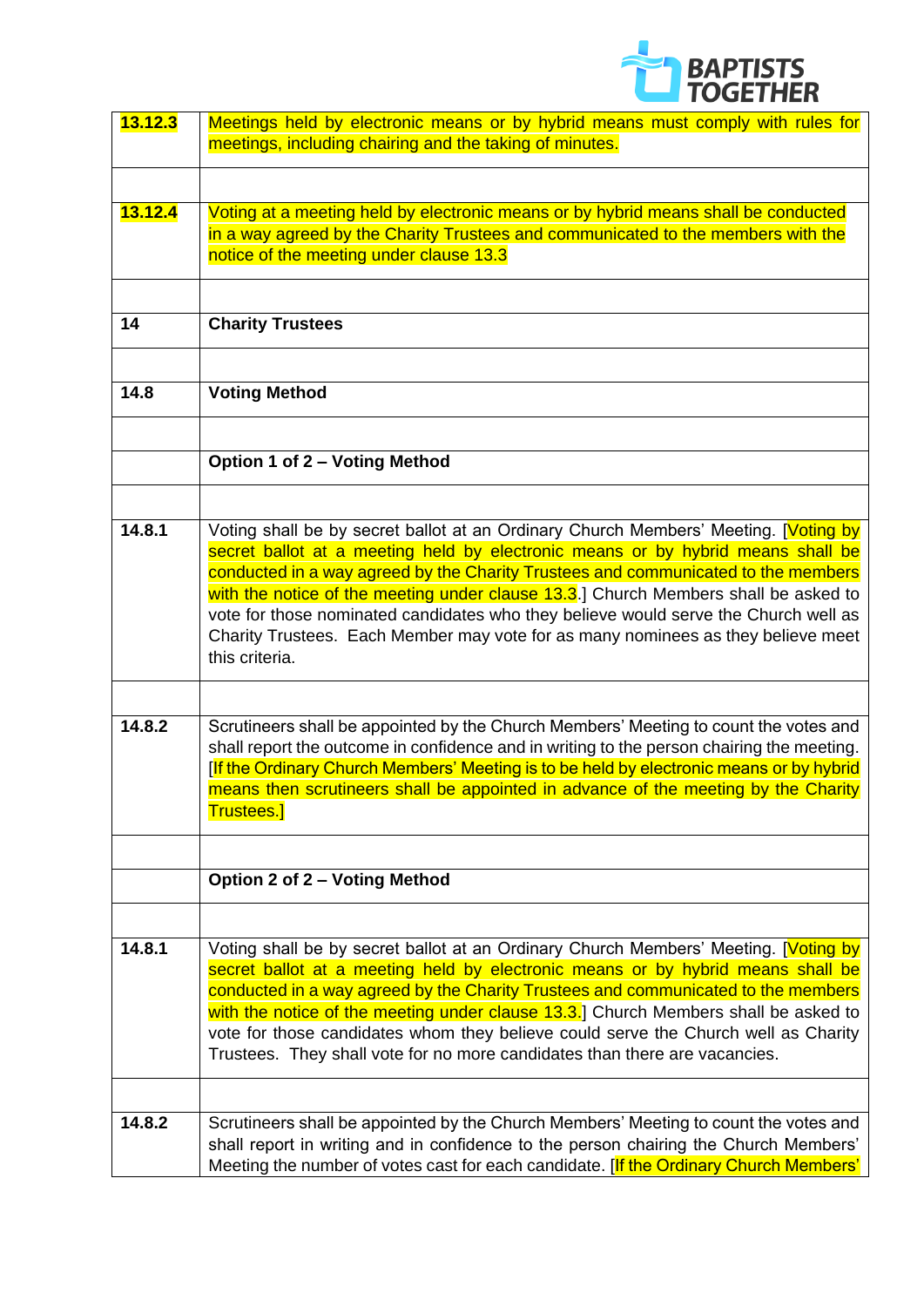

| 13.12.3 | Meetings held by electronic means or by hybrid means must comply with rules for                                                                                                      |
|---------|--------------------------------------------------------------------------------------------------------------------------------------------------------------------------------------|
|         | meetings, including chairing and the taking of minutes.                                                                                                                              |
|         |                                                                                                                                                                                      |
|         |                                                                                                                                                                                      |
| 13.12.4 | Voting at a meeting held by electronic means or by hybrid means shall be conducted                                                                                                   |
|         | in a way agreed by the Charity Trustees and communicated to the members with the                                                                                                     |
|         | notice of the meeting under clause 13.3                                                                                                                                              |
|         |                                                                                                                                                                                      |
|         |                                                                                                                                                                                      |
| 14      | <b>Charity Trustees</b>                                                                                                                                                              |
|         |                                                                                                                                                                                      |
|         |                                                                                                                                                                                      |
| 14.8    | <b>Voting Method</b>                                                                                                                                                                 |
|         |                                                                                                                                                                                      |
|         |                                                                                                                                                                                      |
|         | Option 1 of 2 - Voting Method                                                                                                                                                        |
|         |                                                                                                                                                                                      |
|         |                                                                                                                                                                                      |
| 14.8.1  | Voting shall be by secret ballot at an Ordinary Church Members' Meeting. [Voting by                                                                                                  |
|         | secret ballot at a meeting held by electronic means or by hybrid means shall be                                                                                                      |
|         | conducted in a way agreed by the Charity Trustees and communicated to the members                                                                                                    |
|         | with the notice of the meeting under clause 13.3.] Church Members shall be asked to                                                                                                  |
|         | vote for those nominated candidates who they believe would serve the Church well as                                                                                                  |
|         | Charity Trustees. Each Member may vote for as many nominees as they believe meet                                                                                                     |
|         | this criteria.                                                                                                                                                                       |
|         |                                                                                                                                                                                      |
|         |                                                                                                                                                                                      |
| 14.8.2  | Scrutineers shall be appointed by the Church Members' Meeting to count the votes and                                                                                                 |
|         | shall report the outcome in confidence and in writing to the person chairing the meeting.<br>[If the Ordinary Church Members' Meeting is to be held by electronic means or by hybrid |
|         | means then scrutineers shall be appointed in advance of the meeting by the Charity                                                                                                   |
|         | <u>Trustees.]</u>                                                                                                                                                                    |
|         |                                                                                                                                                                                      |
|         |                                                                                                                                                                                      |
|         | Option 2 of 2 - Voting Method                                                                                                                                                        |
|         |                                                                                                                                                                                      |
|         |                                                                                                                                                                                      |
| 14.8.1  | Voting shall be by secret ballot at an Ordinary Church Members' Meeting. [Voting by                                                                                                  |
|         | secret ballot at a meeting held by electronic means or by hybrid means shall be                                                                                                      |
|         | conducted in a way agreed by the Charity Trustees and communicated to the members                                                                                                    |
|         | with the notice of the meeting under clause 13.3.] Church Members shall be asked to                                                                                                  |
|         | vote for those candidates whom they believe could serve the Church well as Charity                                                                                                   |
|         | Trustees. They shall vote for no more candidates than there are vacancies.                                                                                                           |
|         |                                                                                                                                                                                      |
|         |                                                                                                                                                                                      |
| 14.8.2  | Scrutineers shall be appointed by the Church Members' Meeting to count the votes and                                                                                                 |
|         | shall report in writing and in confidence to the person chairing the Church Members'                                                                                                 |
|         | Meeting the number of votes cast for each candidate. [If the Ordinary Church Members'                                                                                                |